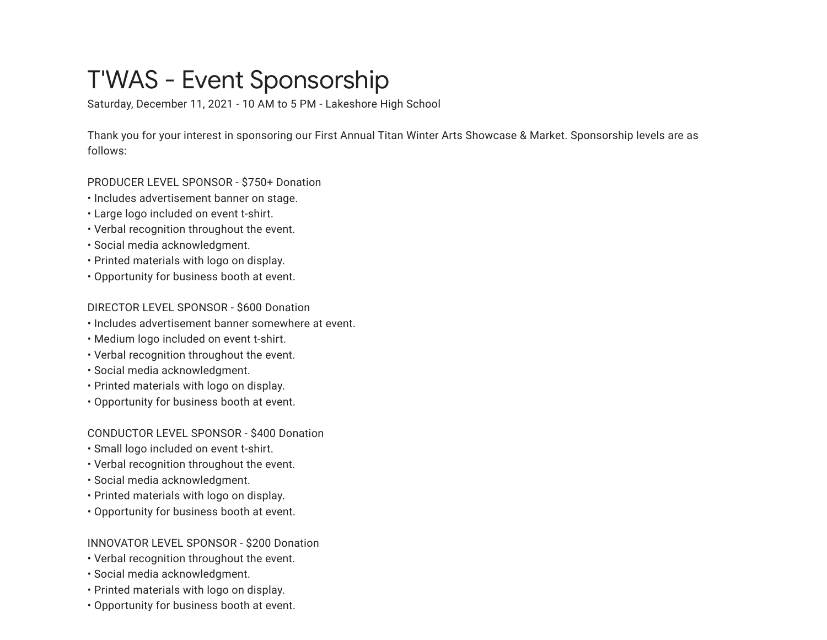# T'WAS - Event Sponsorship

Saturday, December 11, 2021 - 10 AM to 5 PM - Lakeshore High School

Thank you for your interest in sponsoring our First Annual Titan Winter Arts Showcase & Market. Sponsorship levels are as follows:

PRODUCER LEVEL SPONSOR - \$750+ Donation

- Includes advertisement banner on stage.
- Large logo included on event t-shirt.
- Verbal recognition throughout the event.
- Social media acknowledgment.
- Printed materials with logo on display.
- Opportunity for business booth at event.

DIRECTOR LEVEL SPONSOR - \$600 Donation

- Includes advertisement banner somewhere at event.
- Medium logo included on event t-shirt.
- Verbal recognition throughout the event.
- Social media acknowledgment.
- Printed materials with logo on display.
- Opportunity for business booth at event.

## CONDUCTOR LEVEL SPONSOR - \$400 Donation

- Small logo included on event t-shirt.
- Verbal recognition throughout the event.
- Social media acknowledgment.
- Printed materials with logo on display.
- Opportunity for business booth at event.

## INNOVATOR LEVEL SPONSOR - \$200 Donation

- Verbal recognition throughout the event.
- Social media acknowledgment.
- Printed materials with logo on display.
- Opportunity for business booth at event.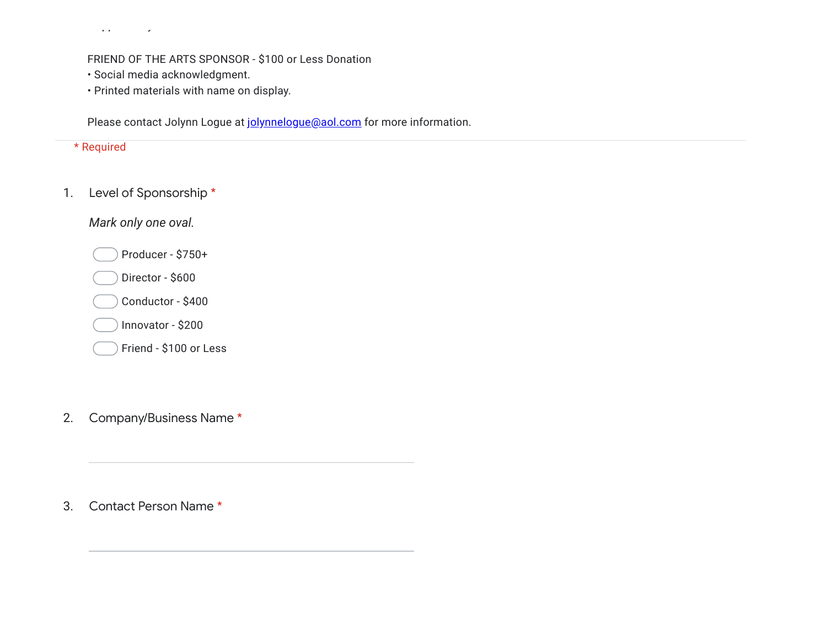pp your control

#### FRIEND OF THE ARTS SPONSOR - \$100 or Less Donation

- Social media acknowledgment.
- Printed materials with name on display.

Please contact Jolynn Logue at [jolynnelogue@aol.com](mailto:jolynnelogue@aol.com) for more information.

|    | * Required             |
|----|------------------------|
| 1. | Level of Sponsorship*  |
|    | Mark only one oval.    |
|    | Producer - \$750+      |
|    | Director - \$600       |
|    | Conductor - \$400      |
|    | Innovator - \$200      |
|    | Friend - \$100 or Less |

2. Company/Business Name \*

3. Contact Person Name \*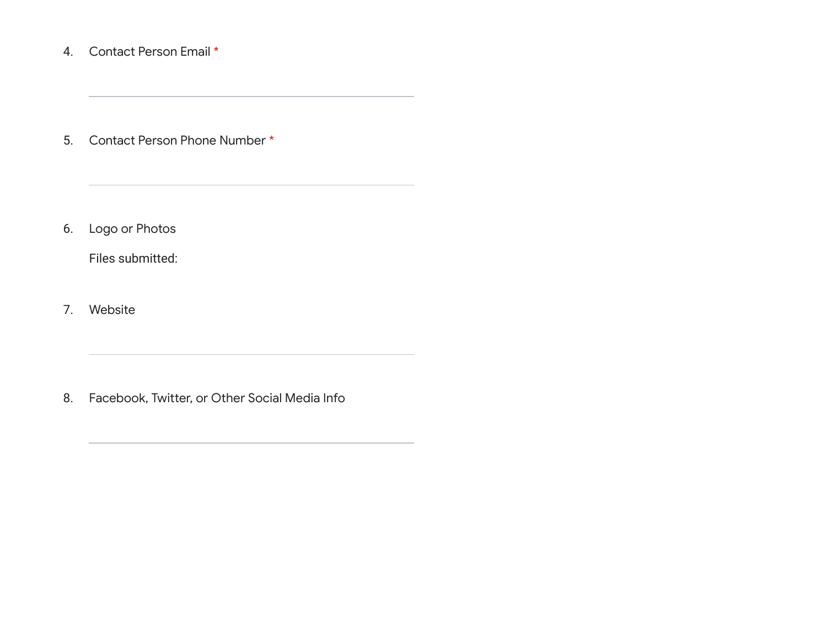## 4. Contact Person Email \*

5. Contact Person Phone Number \*

6. Logo or Photos

Files submitted:

7. Website

8. Facebook, Twitter, or Other Social Media Info